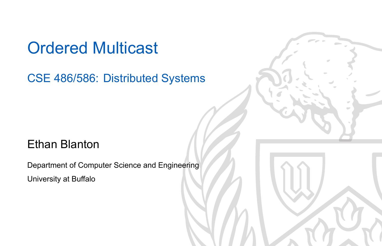#### Ordered Multicast

CSE 486/586: Distributed Systems

#### Ethan Blanton

Department of Computer Science and Engineering University at Buffalo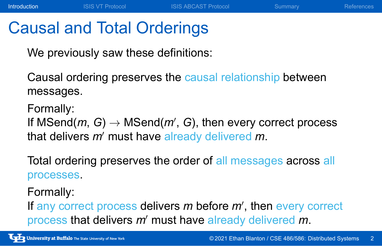#### Causal and Total Orderings

We previously saw these definitions:

Causal ordering preserves the causal relationship between messages.

**Introduction** ISIS VT Protocol ISIS ABCAST Protocol Summary References

Formally:

If MSend(*m*, *G*) *→* MSend(*m′* , *G*), then every correct process that delivers *m′* must have already delivered *m*.

Total ordering preserves the order of all messages across all processes.

#### Formally:

If any correct process delivers *m* before *m′* , then every correct process that delivers *m′* must have already delivered *m*.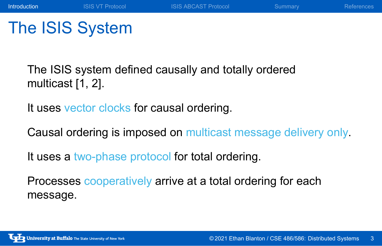## The ISIS System

The ISIS system defined causally and totally ordered multicast [1, 2].

It uses vector clocks for causal ordering.

Causal ordering is imposed on multicast message delivery only.

**Introduction** ISIS VT Protocol ISIS ABCAST Protocol Summary References

It uses a two-phase protocol for total ordering.

Processes cooperatively arrive at a total ordering for each message.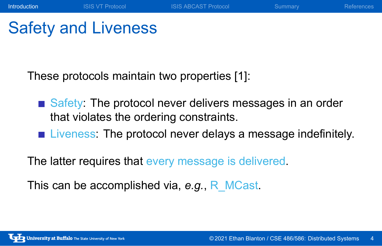## Safety and Liveness

These protocols maintain two properties [1]:

Safety: The protocol never delivers messages in an order that violates the ordering constraints.

**Introduction** ISIS VT Protocol ISIS ABCAST Protocol Summary References

**EXECUTE:** Liveness: The protocol never delays a message indefinitely.

The latter requires that every message is delivered.

This can be accomplished via, *e.g.*, R\_MCast.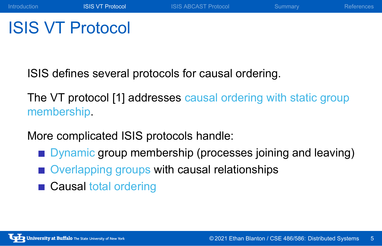## ISIS VT Protocol

ISIS defines several protocols for causal ordering.

The VT protocol [1] addresses causal ordering with static group membership.

Introduction **ISIS VT Protocol** ISIS ABCAST Protocol Summary References

More complicated ISIS protocols handle:

- **Dynamic group membership (processes joining and leaving)**
- Overlapping groups with causal relationships
- Causal total ordering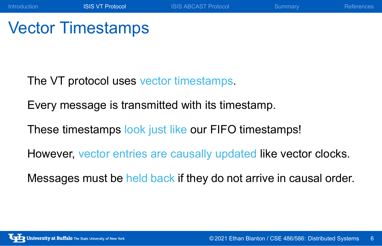## Vector Timestamps

The VT protocol uses vector timestamps.

Every message is transmitted with its timestamp.

These timestamps look just like our FIFO timestamps!

However, vector entries are causally updated like vector clocks.

Introduction **ISIS VT Protocol** ISIS ABCAST Protocol Summary References

Messages must be held back if they do not arrive in causal order.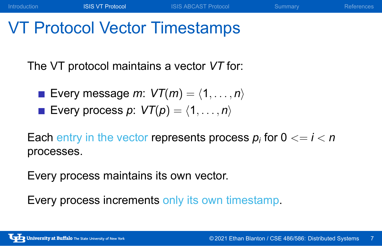## VT Protocol Vector Timestamps

The VT protocol maintains a vector *VT* for:

- Every message  $m: VT(m) = \langle 1, \ldots, n \rangle$
- Every process  $p: VT(p) = \langle 1, \ldots, n \rangle$

Each entry in the vector represents process  $p_i$  for  $0 <= i < n$ processes.

Introduction **ISIS VT Protocol** ISIS ABCAST Protocol Summary References

Every process maintains its own vector.

Every process increments only its own timestamp.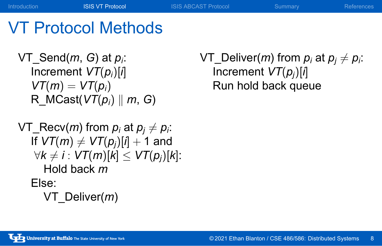#### VT Protocol Methods

VT\_Send(*m*, *G*) at *p<sup>i</sup>* : Increment *VT*(*pi*)[*i*]  $VT(m) = VT(p_i)$ R\_MCast(*VT*(*pi*) *∥ m*, *G*)

 $V\mathsf{T}\_\mathsf{Recv}(m)$  from  $p_i$  at  $p_j \neq p_i$ . If  $VT(m) \neq VT(p_j)[i] + 1$  and *∀k*  $\neq$  *i* :  $VT(m)[k]$   $\leq$   $VT(p_j)[k]$ : Hold back *m* Else: VT\_Deliver(*m*)

 $V$ T\_Deliver(*m*) from  $p_i$  at  $p_j \neq p_i$ . Increment *VT*(*pj*)[*i*] Run hold back queue

Introduction **ISIS VT Protocol** ISIS ABCAST Protocol Summary References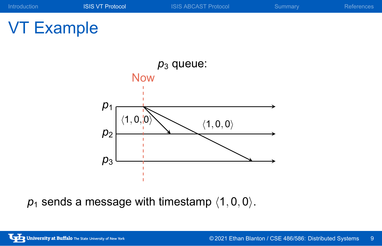# VT Example



*p*<sup>1</sup> sends a message with timestamp *⟨*1*,* 0*,* 0*⟩*.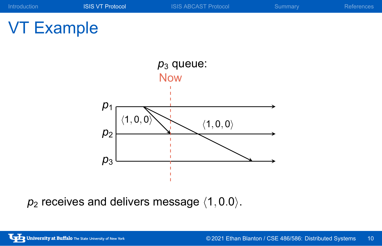

# VT Example



*p*<sup>2</sup> receives and delivers message *⟨*1*,* 0*.*0*⟩*.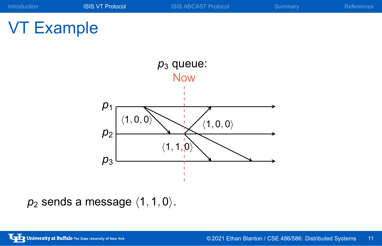

# VT Example



*p*<sup>2</sup> sends a message *⟨*1*,* 1*,* 0*⟩*.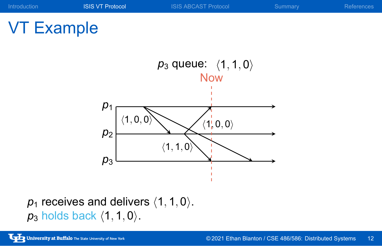



*p*<sup>1</sup> receives and delivers *⟨*1*,* 1*,* 0*⟩*. *p*<sup>3</sup> holds back *⟨*1*,* 1*,* 0*⟩*.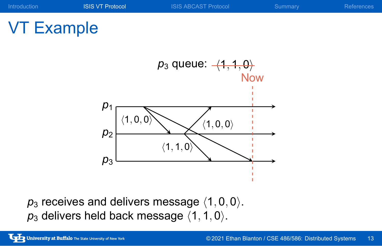

*p*<sup>3</sup> receives and delivers message *⟨*1*,* 0*,* 0*⟩*. *p*<sup>3</sup> delivers held back message *⟨*1*,* 1*,* 0*⟩*.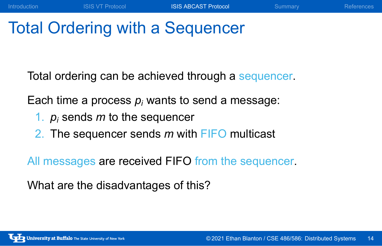## Total Ordering with a Sequencer

Total ordering can be achieved through a sequencer.

Introduction **ISIS VT Protocol ISIS ABCAST Protocol** Summary References

Each time a process  $p_i$  wants to send a message:

- 1. *p<sup>i</sup>* sends *m* to the sequencer
- 2. The sequencer sends *m* with FIFO multicast

All messages are received FIFO from the sequencer.

What are the disadvantages of this?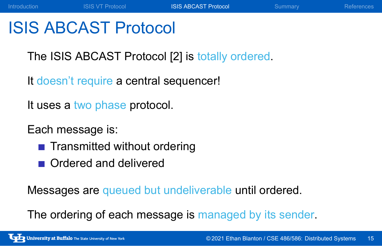## ISIS ABCAST Protocol

The ISIS ABCAST Protocol [2] is totally ordered.

Introduction **ISIS VT Protocol ISIS ABCAST Protocol** Summary References

It doesn't require a central sequencer!

It uses a two phase protocol.

Each message is:

- **Transmitted without ordering**
- Ordered and delivered

Messages are queued but undeliverable until ordered.

The ordering of each message is managed by its sender.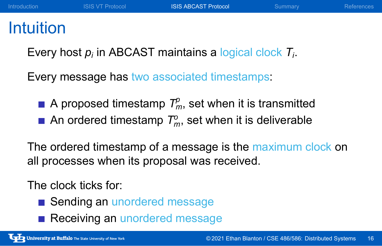## Intuition

Every host *p<sup>i</sup>* in ABCAST maintains a logical clock *T<sup>i</sup>* .

Every message has two associated timestamps:

- A proposed timestamp  $\mathcal{T}^{\rho}_m$ , set when it is transmitted
- An ordered timestamp *T o <sup>m</sup>*, set when it is deliverable

The ordered timestamp of a message is the maximum clock on all processes when its proposal was received.

The clock ticks for:

- Sending an unordered message
- Receiving an unordered message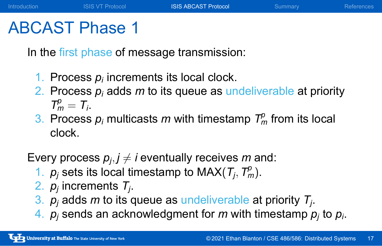#### ABCAST Phase 1

In the first phase of message transmission:

- 1. Process  $p_i$  increments its local clock.
- 2. Process *p<sup>i</sup>* adds *m* to its queue as undeliverable at priority  $T_m^p = T_i$ .

Introduction **ISIS VT Protocol ISIS ABCAST Protocol** Summary References

3. Process  $p_i$  multicasts *m* with timestamp  $T_m^p$  from its local clock.

Every process  $p_j, j \neq i$  eventually receives  $m$  and:

- 1.  $p_j$  sets its local timestamp to MAX( $T_j$ ,  $T_m^p$ ).
- 2. *p<sup>j</sup>* increments *T<sup>j</sup>* .
- 3. *p<sup>j</sup>* adds *m* to its queue as undeliverable at priority *T<sup>j</sup>* .
- 4. *p<sup>j</sup>* sends an acknowledgment for *m* with timestamp *p<sup>j</sup>* to *p<sup>i</sup>* .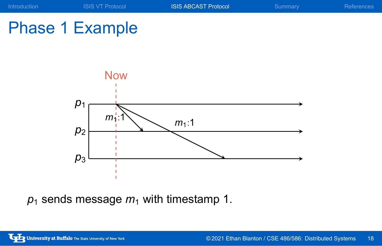



 $p_1$  sends message  $m_1$  with timestamp 1.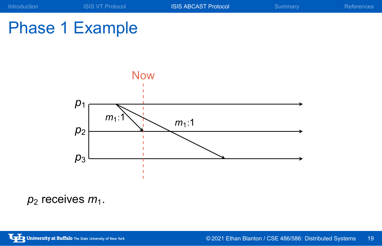



 $p_2$  receives  $m_1$ .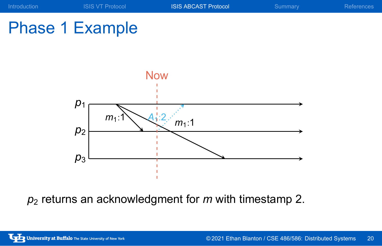





*p*<sup>2</sup> returns an acknowledgment for *m* with timestamp 2.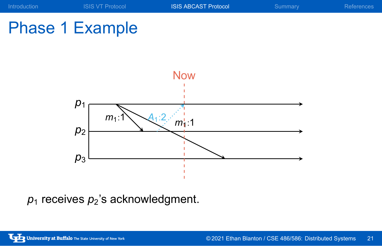





 $p_1$  receives  $p_2$ 's acknowledgment.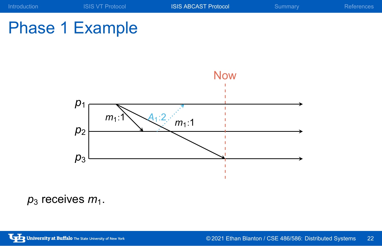

# Phase 1 Example



 $p_3$  receives  $m_1$ .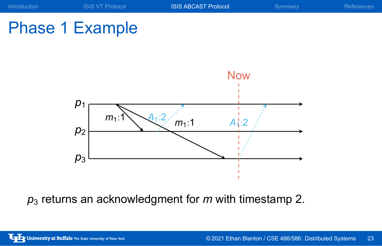

# Phase 1 Example

![](_page_22_Figure_2.jpeg)

*p*<sup>3</sup> returns an acknowledgment for *m* with timestamp 2.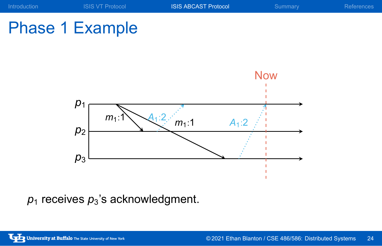![](_page_23_Figure_0.jpeg)

# Phase 1 Example

![](_page_23_Figure_2.jpeg)

 $p_1$  receives  $p_3$ 's acknowledgment.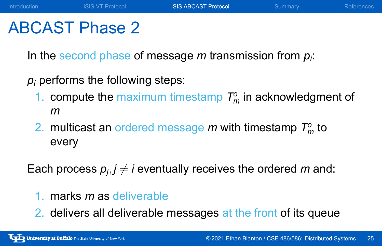#### ABCAST Phase 2

In the second phase of message *m* transmission from *p<sup>i</sup>* :

*p<sup>i</sup>* performs the following steps:

1. compute the maximum timestamp  $T_m^{\circ}$  in acknowledgment of *m*

Introduction **ISIS VT Protocol ISIS ABCAST Protocol** Summary References

2. multicast an ordered message  $m$  with timestamp  $T_m^o$  to every

Each process  $p_j, j \neq i$  eventually receives the ordered  $m$  and:

- 1. marks *m* as deliverable
- 2. delivers all deliverable messages at the front of its queue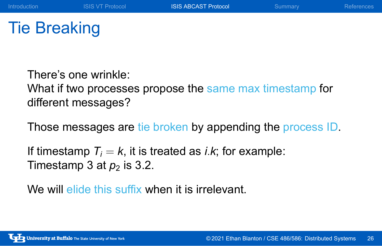## Tie Breaking

There's one wrinkle: What if two processes propose the same max timestamp for different messages?

Introduction **ISIS VT Protocol ISIS ABCAST Protocol** Summary References

Those messages are tie broken by appending the process ID.

If timestamp  $T_i = k$ , it is treated as *i.k*; for example: Timestamp 3 at  $p_2$  is 3.2.

We will elide this suffix when it is irrelevant.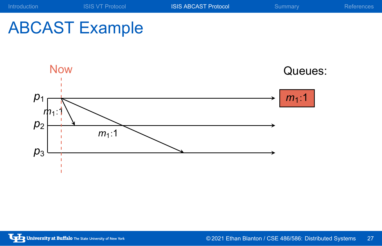![](_page_26_Figure_0.jpeg)

![](_page_26_Figure_1.jpeg)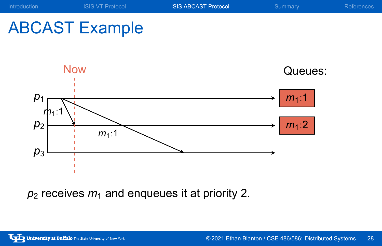![](_page_27_Figure_0.jpeg)

 $p_2$  receives  $m_1$  and enqueues it at priority 2.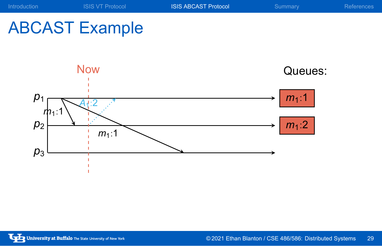![](_page_28_Figure_0.jpeg)

# ABCAST Example

*p*3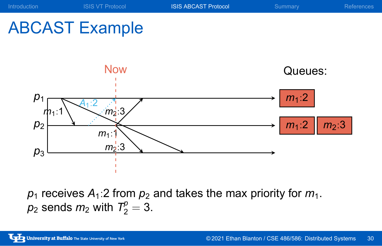![](_page_29_Figure_0.jpeg)

 $\rho_1$  receives  ${\cal A}_1$ :2 from  $\rho_2$  and takes the max priority for  $m_1.$  $p_2$  sends  $m_2$  with  $T_2^p = 3$ .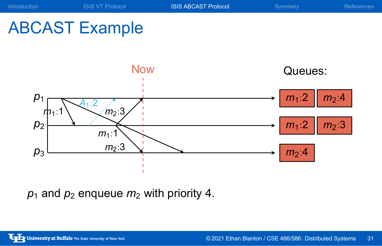![](_page_30_Figure_0.jpeg)

 $p_1$  and  $p_2$  enqueue  $m_2$  with priority 4.

*p*3

 $m_2:4$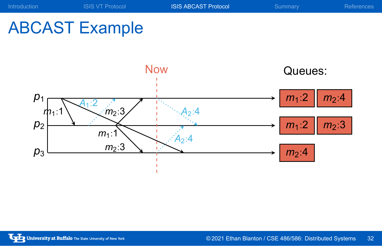# ABCAST Example

![](_page_31_Figure_2.jpeg)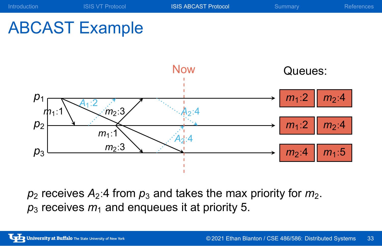![](_page_32_Figure_0.jpeg)

 $p_2$  receives  $A_2$ :4 from  $p_3$  and takes the max priority for  $m_2$ .  $p_3$  receives  $m_1$  and enqueues it at priority 5.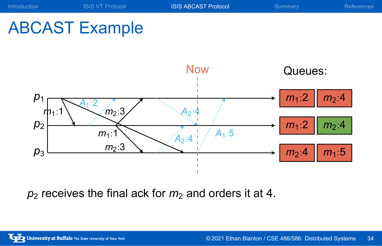![](_page_33_Figure_0.jpeg)

 $p_2$  receives the final ack for  $m_2$  and orders it at 4.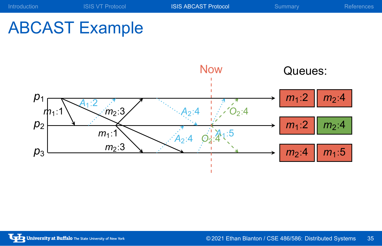# ABCAST Example

![](_page_34_Figure_2.jpeg)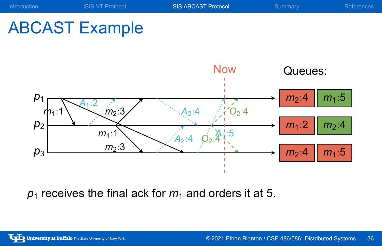![](_page_35_Figure_0.jpeg)

 $p_1$  receives the final ack for  $m_1$  and orders it at 5.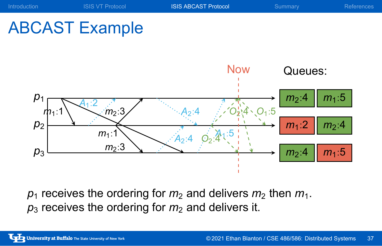![](_page_36_Figure_0.jpeg)

![](_page_36_Figure_1.jpeg)

 $p_1$  receives the ordering for  $m_2$  and delivers  $m_2$  then  $m_1$ .  $p_3$  receives the ordering for  $m_2$  and delivers it.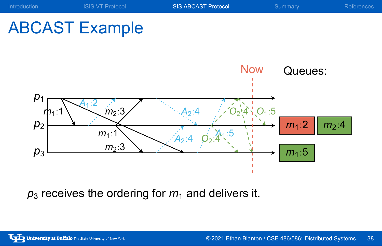![](_page_37_Figure_0.jpeg)

 $p_3$  receives the ordering for  $m_1$  and delivers it.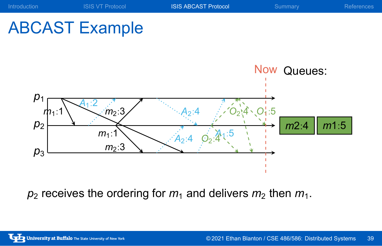![](_page_38_Figure_0.jpeg)

 $p_2$  receives the ordering for  $m_1$  and delivers  $m_2$  then  $m_1$ .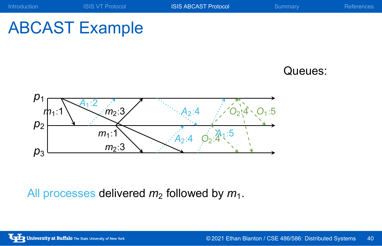![](_page_39_Picture_0.jpeg)

![](_page_39_Picture_1.jpeg)

Queues:

![](_page_39_Figure_3.jpeg)

All processes delivered  $m_2$  followed by  $m_1$ .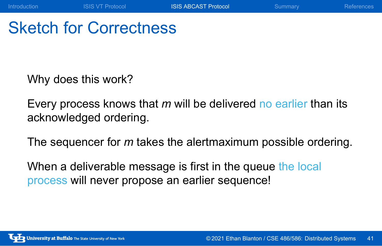## Sketch for Correctness

Why does this work?

Every process knows that *m* will be delivered no earlier than its acknowledged ordering.

Introduction **ISIS VT Protocol** ISIS ABCAST Protocol Summary References

The sequencer for *m* takes the alertmaximum possible ordering.

When a deliverable message is first in the queue the local process will never propose an earlier sequence!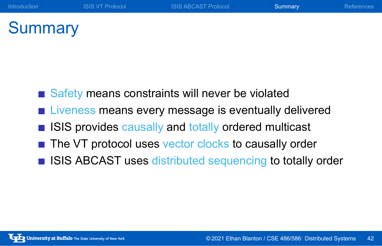## **Summary**

- Safety means constraints will never be violated
- **Liveness means every message is eventually delivered**
- **ISIS provides causally and totally ordered multicast**
- The VT protocol uses vector clocks to causally order
- **ISIS ABCAST uses distributed sequencing to totally order**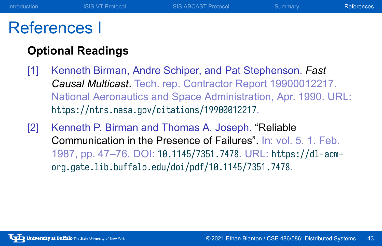#### References I

#### **Optional Readings**

[1] Kenneth Birman, Andre Schiper, and Pat Stephenson. *Fast Causal Multicast*. Tech. rep. Contractor Report 19900012217. National Aeronautics and Space Administration, Apr. 1990. URL: https://ntrs.nasa.gov/citations/19900012217.

Introduction **ISIS VT Protocol** ISIS ABCAST Protocol Summary References

[2] Kenneth P. Birman and Thomas A. Joseph. "Reliable Communication in the Presence of Failures". In: vol. 5. 1. Feb. 1987, pp. 47–76. DOI: 10.1145/7351.7478. URL: https://dl-acmorg.gate.lib.buffalo.edu/doi/pdf/10.1145/7351.7478.